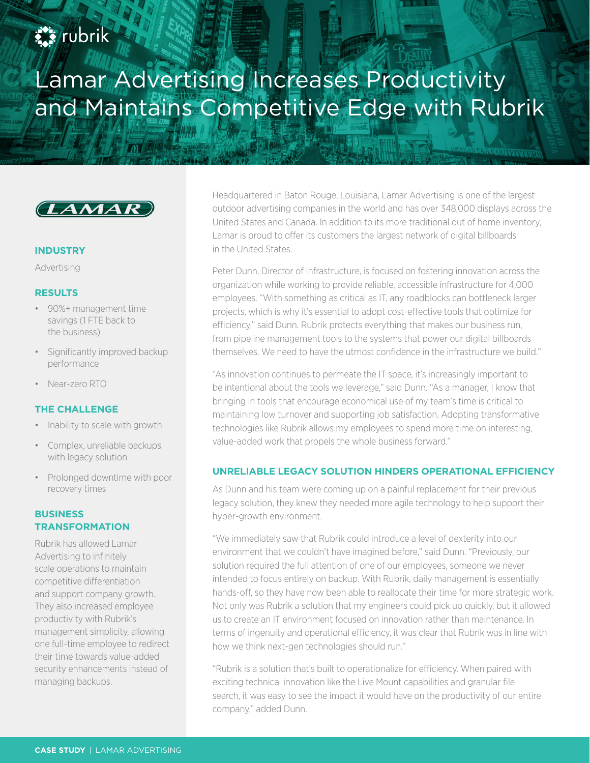

# Lamar Advertising Increases Productivity and Maintains Competitive Edge with Rubrik



#### **INDUSTRY**

Advertising

#### **RESULTS**

- 90%+ management time savings (1 FTE back to the business)
- Significantly improved backup performance
- Near-zero RTO

## **THE CHALLENGE**

- Inability to scale with growth
- Complex, unreliable backups with legacy solution
- Prolonged downtime with poor recovery times

# **BUSINESS TRANSFORMATION**

Rubrik has allowed Lamar Advertising to infinitely scale operations to maintain competitive differentiation and support company growth. They also increased employee productivity with Rubrik's management simplicity, allowing one full-time employee to redirect their time towards value-added security enhancements instead of managing backups.

Headquartered in Baton Rouge, Louisiana, Lamar Advertising is one of the largest outdoor advertising companies in the world and has over 348,000 displays across the United States and Canada. In addition to its more traditional out of home inventory, Lamar is proud to offer its customers the largest network of digital billboards in the United States.

Peter Dunn, Director of Infrastructure, is focused on fostering innovation across the organization while working to provide reliable, accessible infrastructure for 4,000 employees. "With something as critical as IT, any roadblocks can bottleneck larger projects, which is why it's essential to adopt cost-effective tools that optimize for efficiency," said Dunn. Rubrik protects everything that makes our business run, from pipeline management tools to the systems that power our digital billboards themselves. We need to have the utmost confidence in the infrastructure we build."

"As innovation continues to permeate the IT space, it's increasingly important to be intentional about the tools we leverage," said Dunn. "As a manager, I know that bringing in tools that encourage economical use of my team's time is critical to maintaining low turnover and supporting job satisfaction. Adopting transformative technologies like Rubrik allows my employees to spend more time on interesting, value-added work that propels the whole business forward."

## **UNRELIABLE LEGACY SOLUTION HINDERS OPERATIONAL EFFICIENCY**

As Dunn and his team were coming up on a painful replacement for their previous legacy solution, they knew they needed more agile technology to help support their hyper-growth environment.

"We immediately saw that Rubrik could introduce a level of dexterity into our environment that we couldn't have imagined before," said Dunn. "Previously, our solution required the full attention of one of our employees, someone we never intended to focus entirely on backup. With Rubrik, daily management is essentially hands-off, so they have now been able to reallocate their time for more strategic work. Not only was Rubrik a solution that my engineers could pick up quickly, but it allowed us to create an IT environment focused on innovation rather than maintenance. In terms of ingenuity and operational efficiency, it was clear that Rubrik was in line with how we think next-gen technologies should run."

"Rubrik is a solution that's built to operationalize for efficiency. When paired with exciting technical innovation like the Live Mount capabilities and granular file search, it was easy to see the impact it would have on the productivity of our entire company," added Dunn.